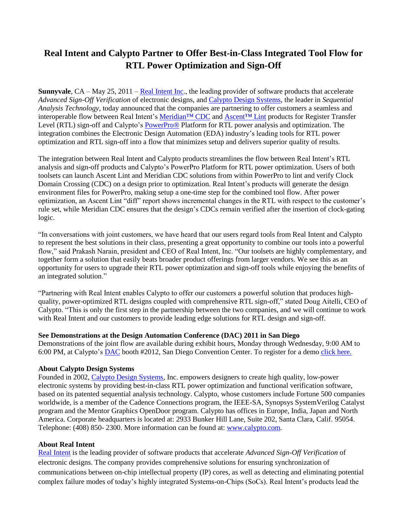## **Real Intent and Calypto Partner to Offer Best-in-Class Integrated Tool Flow for RTL Power Optimization and Sign-Off**

**Sunnyvale**, CA – May 25, 2011 – [Real Intent Inc.](http://www.realintent.com/), the leading provider of software products that accelerate *Advanced Sign-Off Verification* of electronic designs, and [Calypto Design Systems,](http://www.calypto.com/) the leader in *Sequential Analysis Technology*, today announced that the companies are partnering to offer customers a seamless and interoperable flow between Real Intent's [Meridian™](http://www.realintent.com/real-intent-products/meridian) CDC and [Ascent™](http://www.realintent.com/real-intent-products/ascent) Lint products for Register Transfer Level (RTL) sign-off and Calypto's [PowerPro®](http://www.calypto.com/powerprocg.php) Platform for RTL power analysis and optimization. The integration combines the Electronic Design Automation (EDA) industry's leading tools for RTL power optimization and RTL sign-off into a flow that minimizes setup and delivers superior quality of results.

The integration between Real Intent and Calypto products streamlines the flow between Real Intent's RTL analysis and sign-off products and Calypto's PowerPro Platform for RTL power optimization. Users of both toolsets can launch Ascent Lint and Meridian CDC solutions from within PowerPro to lint and verify Clock Domain Crossing (CDC) on a design prior to optimization. Real Intent's products will generate the design environment files for PowerPro, making setup a one-time step for the combined tool flow. After power optimization, an Ascent Lint "diff" report shows incremental changes in the RTL with respect to the customer's rule set, while Meridian CDC ensures that the design's CDCs remain verified after the insertion of clock-gating logic.

"In conversations with joint customers, we have heard that our users regard tools from Real Intent and Calypto to represent the best solutions in their class, presenting a great opportunity to combine our tools into a powerful flow," said Prakash Narain, president and CEO of Real Intent, Inc. "Our toolsets are highly complementary, and together form a solution that easily beats broader product offerings from larger vendors. We see this as an opportunity for users to upgrade their RTL power optimization and sign-off tools while enjoying the benefits of an integrated solution."

"Partnering with Real Intent enables Calypto to offer our customers a powerful solution that produces highquality, power-optimized RTL designs coupled with comprehensive RTL sign-off," stated Doug Aitelli, CEO of Calypto. "This is only the first step in the partnership between the two companies, and we will continue to work with Real Intent and our customers to provide leading edge solutions for RTL design and sign-off.

## **See Demonstrations at the Design Automation Conference (DAC) 2011 in San Diego**

Demonstrations of the joint flow are available during exhibit hours, Monday through Wednesday, 9:00 AM to 6:00 PM, at Calypto's [DAC](http://www.dac.com/) booth #2012, San Diego Convention Center. To register for a demo [click here.](http://www.calypto.com/dac_registration.php)

## **About Calypto Design Systems**

Founded in 2002, [Calypto Design Systems,](http://www.calypto.com/) Inc. empowers designers to create high quality, low-power electronic systems by providing best-in-class RTL power optimization and functional verification software, based on its patented sequential analysis technology. Calypto, whose customers include Fortune 500 companies worldwide, is a member of the Cadence Connections program, the IEEE-SA, Synopsys SystemVerilog Catalyst program and the Mentor Graphics OpenDoor program. Calypto has offices in Europe, India, Japan and North America. Corporate headquarters is located at: 2933 Bunker Hill Lane, Suite 202, Santa Clara, Calif. 95054. Telephone: (408) 850- 2300. More information can be found at: [www.calypto.com.](http://www.calypto.com/)

## **About Real Intent**

[Real Intent](http://www.realintent.com/) is the leading provider of software products that accelerate *Advanced Sign-Off Verification* of electronic designs. The company provides comprehensive solutions for ensuring synchronization of communications between on-chip intellectual property (IP) cores, as well as detecting and eliminating potential complex failure modes of today's highly integrated Systems-on-Chips (SoCs). Real Intent's products lead the